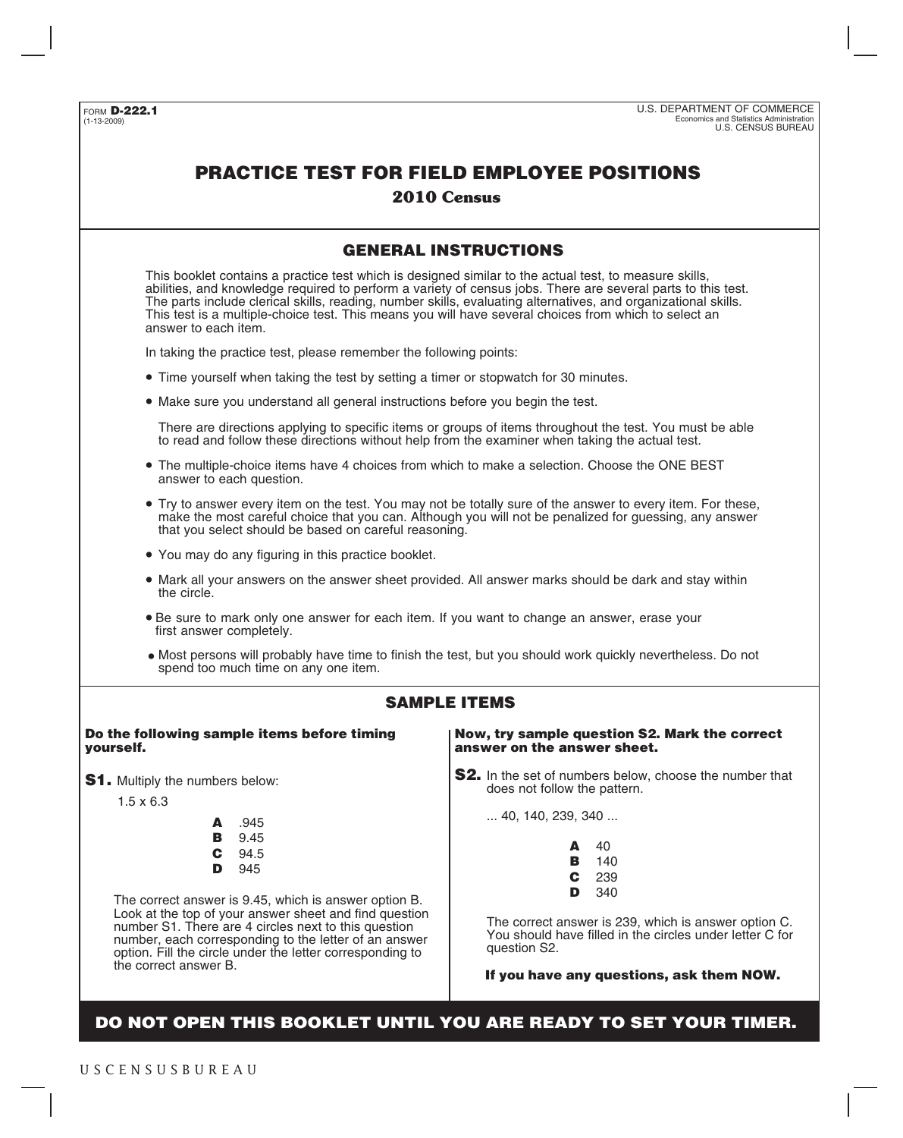## **PRACTICE TEST FOR FIELD EMPLOYEE POSITIONS**

## **2010 Census**

## **GENERAL INSTRUCTIONS**

This booklet contains a practice test which is designed similar to the actual test, to measure skills, abilities, and knowledge required to perform a variety of census jobs. There are several parts to this test. The parts include clerical skills, reading, number skills, evaluating alternatives, and organizational skills. This test is a multiple-choice test. This means you will have several choices from which to select an answer to each item.

In taking the practice test, please remember the following points:

- Time yourself when taking the test by setting a timer or stopwatch for 30 minutes. •
- Make sure you understand all general instructions before you begin the test. •

There are directions applying to specific items or groups of items throughout the test. You must be able to read and follow these directions without help from the examiner when taking the actual test.

- The multiple-choice items have 4 choices from which to make a selection. Choose the ONE BEST answer to each question.
- Try to answer every item on the test. You may not be totally sure of the answer to every item. For these, make the most careful choice that you can. Although you will not be penalized for guessing, any answer that you select should be based on careful reasoning.
- You may do any figuring in this practice booklet. •
- Mark all your answers on the answer sheet provided. All answer marks should be dark and stay within the circle.
- Be sure to mark only one answer for each item. If you want to change an answer, erase your •first answer completely.
- Most persons will probably have time to finish the test, but you should work quickly nevertheless. Do not spend too much time on any one item.

## **SAMPLE ITEMS**

#### **Do the following sample items before timing yourself.**

- **S1.** Multiply the numbers below:
	- 1.5 x 6.3
- **A** .945 **B** 9.45 **C** 94.5 **D** 945

The correct answer is 9.45, which is answer option B. Look at the top of your answer sheet and find question number S1. There are 4 circles next to this question number, each corresponding to the letter of an answer option. Fill the circle under the letter corresponding to the correct answer B.

**Now, try sample question S2. Mark the correct answer on the answer sheet.**

**S2.** In the set of numbers below, choose the number that does not follow the pattern.

... 40, 140, 239, 340 ...

| Δ | 40  |
|---|-----|
| в | 140 |
| С | 239 |
| D | 340 |

The correct answer is 239, which is answer option C. You should have filled in the circles under letter C for question S2.

**If you have any questions, ask them NOW.**

**DO NOT OPEN THIS BOOKLET UNTIL YOU ARE READY TO SET YOUR TIMER.**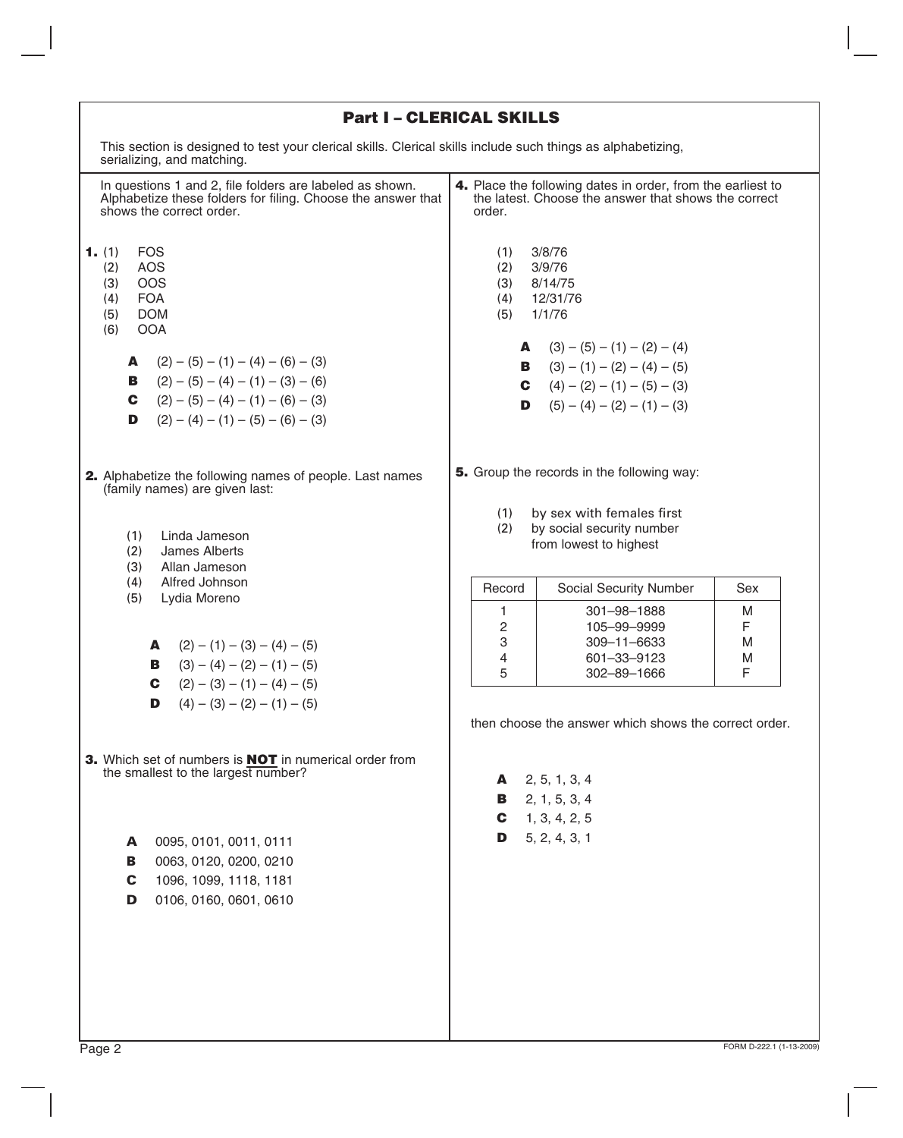|                                                                                                                                                                                                                                                                                                                | <b>Part I - CLERICAL SKILLS</b>                                                                                                                                                                                                                          |
|----------------------------------------------------------------------------------------------------------------------------------------------------------------------------------------------------------------------------------------------------------------------------------------------------------------|----------------------------------------------------------------------------------------------------------------------------------------------------------------------------------------------------------------------------------------------------------|
| This section is designed to test your clerical skills. Clerical skills include such things as alphabetizing,<br>serializing, and matching.                                                                                                                                                                     |                                                                                                                                                                                                                                                          |
| In questions 1 and 2, file folders are labeled as shown.<br>Alphabetize these folders for filing. Choose the answer that<br>shows the correct order.                                                                                                                                                           | 4. Place the following dates in order, from the earliest to<br>the latest. Choose the answer that shows the correct<br>order.                                                                                                                            |
| <b>FOS</b><br>1. (1)<br><b>AOS</b><br>(2)<br>(3)<br><b>OOS</b><br><b>FOA</b><br>(4)<br>(5)<br><b>DOM</b><br>(6)<br><b>OOA</b><br>$(2) - (5) - (1) - (4) - (6) - (3)$<br>A<br>$(2) - (5) - (4) - (1) - (3) - (6)$<br>В<br>$(2) - (5) - (4) - (1) - (6) - (3)$<br>C.<br>D<br>$(2) - (4) - (1) - (5) - (6) - (3)$ | 3/8/76<br>(1)<br>(2)<br>3/9/76<br>(3)<br>8/14/75<br>12/31/76<br>(4)<br>1/1/76<br>(5)<br><b>A</b> $(3) - (5) - (1) - (2) - (4)$<br><b>B</b> $(3) - (1) - (2) - (4) - (5)$<br><b>C</b> $(4) - (2) - (1) - (5) - (3)$<br>$(5) - (4) - (2) - (1) - (3)$<br>D |
| 2. Alphabetize the following names of people. Last names<br>(family names) are given last:<br>(1)<br>Linda Jameson                                                                                                                                                                                             | 5. Group the records in the following way:<br>by sex with females first<br>(1)<br>by social security number<br>(2)<br>from lowest to highest                                                                                                             |
| (2)<br>James Alberts<br>(3)<br>Allan Jameson<br>(4)<br>Alfred Johnson<br>(5)<br>Lydia Moreno                                                                                                                                                                                                                   | Record<br>Social Security Number<br><b>Sex</b><br>301-98-1888<br>M<br>1<br>2<br>F<br>105-99-9999                                                                                                                                                         |
| $(2) - (1) - (3) - (4) - (5)$<br>A<br>$(3) - (4) - (2) - (1) - (5)$<br>В<br>$(2) - (3) - (1) - (4) - (5)$<br>C                                                                                                                                                                                                 | 3<br>309-11-6633<br>M<br>4<br>601-33-9123<br>M<br>5<br>F<br>302-89-1666                                                                                                                                                                                  |
| $(4) - (3) - (2) - (1) - (5)$<br>D<br>3. Which set of numbers is <b>NOT</b> in numerical order from                                                                                                                                                                                                            | then choose the answer which shows the correct order.                                                                                                                                                                                                    |
| the smallest to the largest number?                                                                                                                                                                                                                                                                            | 2, 5, 1, 3, 4<br>A<br>2, 1, 5, 3, 4<br>В.<br>1, 3, 4, 2, 5<br>C                                                                                                                                                                                          |
| 0095, 0101, 0011, 0111<br>A<br>0063, 0120, 0200, 0210<br>в<br>1096, 1099, 1118, 1181<br>C<br>0106, 0160, 0601, 0610<br>D                                                                                                                                                                                       | 5, 2, 4, 3, 1<br>D                                                                                                                                                                                                                                       |
|                                                                                                                                                                                                                                                                                                                |                                                                                                                                                                                                                                                          |

٦

I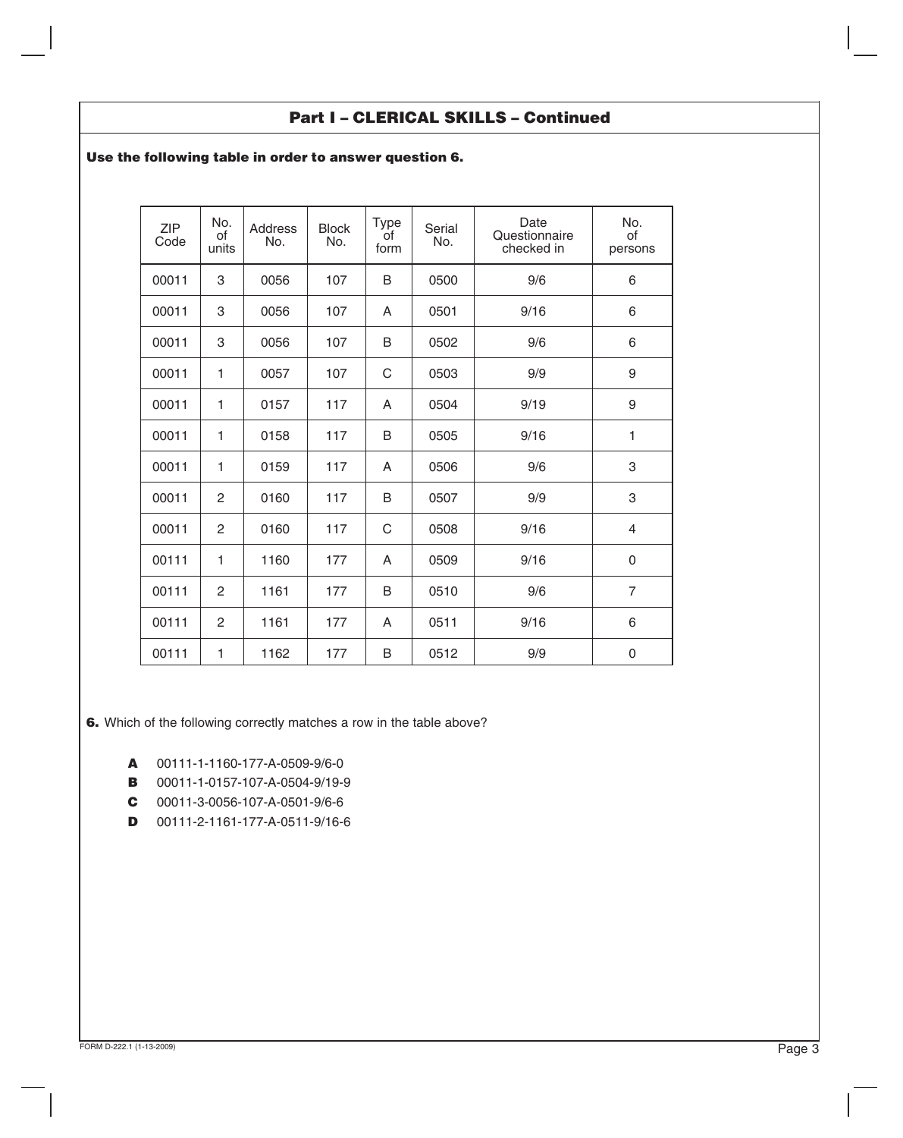## **Part I – CLERICAL SKILLS – Continued**

## **Use the following table in order to answer question 6.**

| <b>ZIP</b><br>Code | No.<br>of<br>units | <b>Address</b><br>No. | <b>Block</b><br>No. | <b>Type</b><br>of<br>form | Serial<br>No. | Date<br>Questionnaire<br>checked in | No.<br>of<br>persons |
|--------------------|--------------------|-----------------------|---------------------|---------------------------|---------------|-------------------------------------|----------------------|
| 00011              | 3                  | 0056                  | 107                 | B                         | 0500          | 9/6                                 | 6                    |
| 00011              | 3                  | 0056                  | 107                 | A                         | 0501          | 9/16                                | 6                    |
| 00011              | 3                  | 0056                  | 107                 | B                         | 0502          | 9/6                                 | 6                    |
| 00011              | $\mathbf{1}$       | 0057                  | 107                 | $\mathsf C$               | 0503          | 9/9                                 | 9                    |
| 00011              | 1                  | 0157                  | 117                 | A                         | 0504          | 9/19                                | 9                    |
| 00011              | 1                  | 0158                  | 117                 | B                         | 0505          | 9/16                                | $\mathbf{1}$         |
| 00011              | 1                  | 0159                  | 117                 | A                         | 0506          | 9/6                                 | 3                    |
| 00011              | $\overline{c}$     | 0160                  | 117                 | B                         | 0507          | 9/9                                 | 3                    |
| 00011              | $\overline{c}$     | 0160                  | 117                 | C                         | 0508          | 9/16                                | $\overline{4}$       |
| 00111              | 1                  | 1160                  | 177                 | A                         | 0509          | 9/16                                | $\mathbf 0$          |
| 00111              | $\overline{2}$     | 1161                  | 177                 | B                         | 0510          | 9/6                                 | $\overline{7}$       |
| 00111              | 2                  | 1161                  | 177                 | A                         | 0511          | 9/16                                | 6                    |
| 00111              | $\mathbf{1}$       | 1162                  | 177                 | B                         | 0512          | 9/9                                 | $\mathbf 0$          |

**6.** Which of the following correctly matches a row in the table above?

- **A** 00111-1-1160-177-A-0509-9/6-0
- **B** 00011-1-0157-107-A-0504-9/19-9
- **C** 00011-3-0056-107-A-0501-9/6-6
- **D** 00111-2-1161-177-A-0511-9/16-6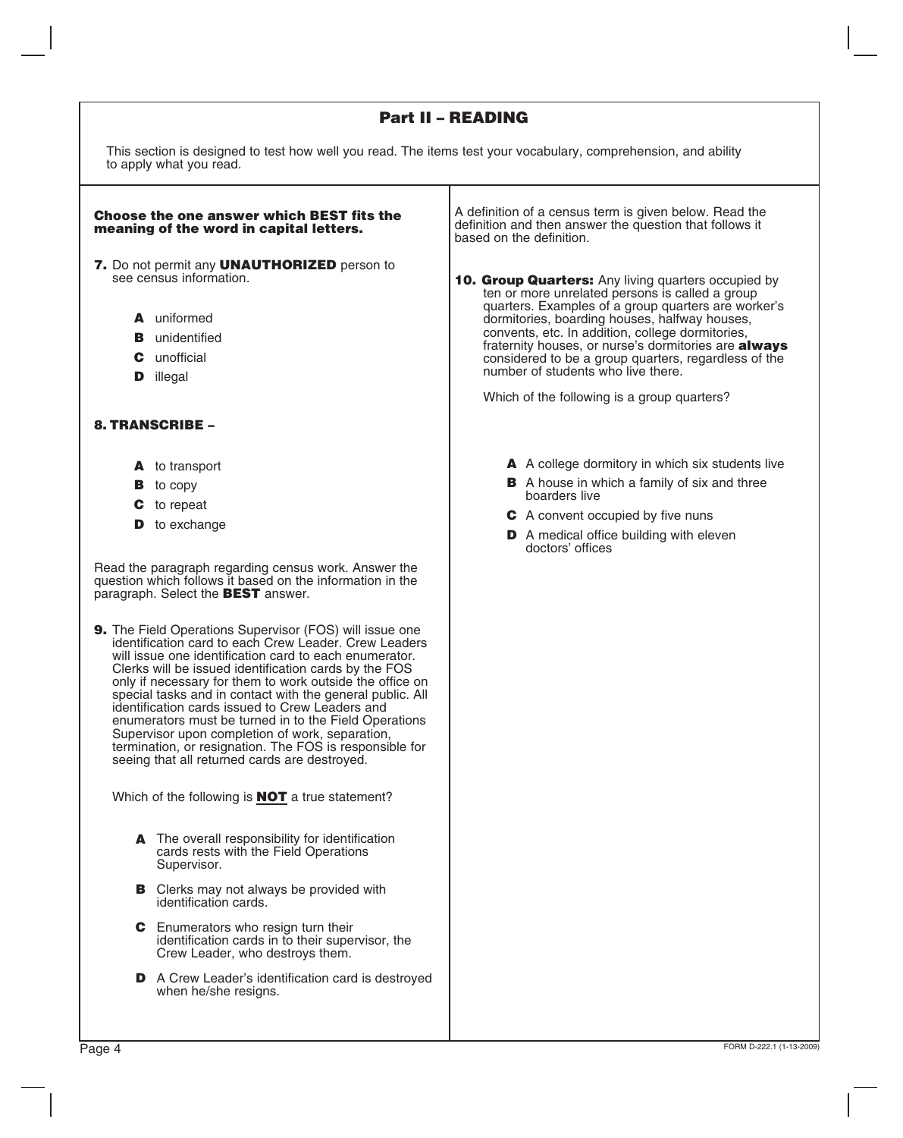## **Part II – READING**

Τ

This section is designed to test how well you read. The items test your vocabulary, comprehension, and ability to apply what you read.

| <b>Choose the one answer which BEST fits the</b><br>meaning of the word in capital letters.                                                                                                                                                                                                                                                                                                                                                                                                                                                                                                                                                                                                 | A definition of a census term is given below. Read the<br>definition and then answer the question that follows it<br>based on the definition.                                                                                                                                                                                                                                                                                                                                  |
|---------------------------------------------------------------------------------------------------------------------------------------------------------------------------------------------------------------------------------------------------------------------------------------------------------------------------------------------------------------------------------------------------------------------------------------------------------------------------------------------------------------------------------------------------------------------------------------------------------------------------------------------------------------------------------------------|--------------------------------------------------------------------------------------------------------------------------------------------------------------------------------------------------------------------------------------------------------------------------------------------------------------------------------------------------------------------------------------------------------------------------------------------------------------------------------|
| 7. Do not permit any UNAUTHORIZED person to<br>see census information.<br><b>A</b> uniformed<br><b>B</b> unidentified<br>unofficial<br>С<br>illegal<br>D                                                                                                                                                                                                                                                                                                                                                                                                                                                                                                                                    | <b>10. Group Quarters:</b> Any living quarters occupied by<br>ten or more unrelated persons is called a group<br>quarters. Examples of a group quarters are worker's<br>dormitories, boarding houses, halfway houses,<br>convents, etc. In addition, college dormitories,<br>fraternity houses, or nurse's dormitories are always<br>considered to be a group quarters, regardless of the<br>number of students who live there.<br>Which of the following is a group quarters? |
| <b>8. TRANSCRIBE -</b><br>A to transport<br>to copy<br>В<br><b>C</b> to repeat                                                                                                                                                                                                                                                                                                                                                                                                                                                                                                                                                                                                              | A A college dormitory in which six students live<br><b>B</b> A house in which a family of six and three<br>boarders live<br>C A convent occupied by five nuns                                                                                                                                                                                                                                                                                                                  |
| to exchange<br>D<br>Read the paragraph regarding census work. Answer the<br>question which follows it based on the information in the                                                                                                                                                                                                                                                                                                                                                                                                                                                                                                                                                       | <b>D</b> A medical office building with eleven<br>doctors' offices                                                                                                                                                                                                                                                                                                                                                                                                             |
| paragraph. Select the <b>BEST</b> answer.<br><b>9.</b> The Field Operations Supervisor (FOS) will issue one<br>identification card to each Crew Leader. Crew Leaders<br>will issue one identification card to each enumerator.<br>Clerks will be issued identification cards by the FOS<br>only if necessary for them to work outside the office on<br>special tasks and in contact with the general public. All<br>identification cards issued to Crew Leaders and<br>enumerators must be turned in to the Field Operations<br>Supervisor upon completion of work, separation,<br>termination, or resignation. The FOS is responsible for<br>seeing that all returned cards are destroyed. |                                                                                                                                                                                                                                                                                                                                                                                                                                                                                |
| Which of the following is <b>NOT</b> a true statement?                                                                                                                                                                                                                                                                                                                                                                                                                                                                                                                                                                                                                                      |                                                                                                                                                                                                                                                                                                                                                                                                                                                                                |
| A The overall responsibility for identification<br>cards rests with the Field Operations<br>Supervisor.                                                                                                                                                                                                                                                                                                                                                                                                                                                                                                                                                                                     |                                                                                                                                                                                                                                                                                                                                                                                                                                                                                |
| <b>B</b> Clerks may not always be provided with<br>identification cards.<br>Enumerators who resign turn their<br>C.                                                                                                                                                                                                                                                                                                                                                                                                                                                                                                                                                                         |                                                                                                                                                                                                                                                                                                                                                                                                                                                                                |
| identification cards in to their supervisor, the<br>Crew Leader, who destroys them.<br>D A Crew Leader's identification card is destroyed                                                                                                                                                                                                                                                                                                                                                                                                                                                                                                                                                   |                                                                                                                                                                                                                                                                                                                                                                                                                                                                                |

when he/she resigns.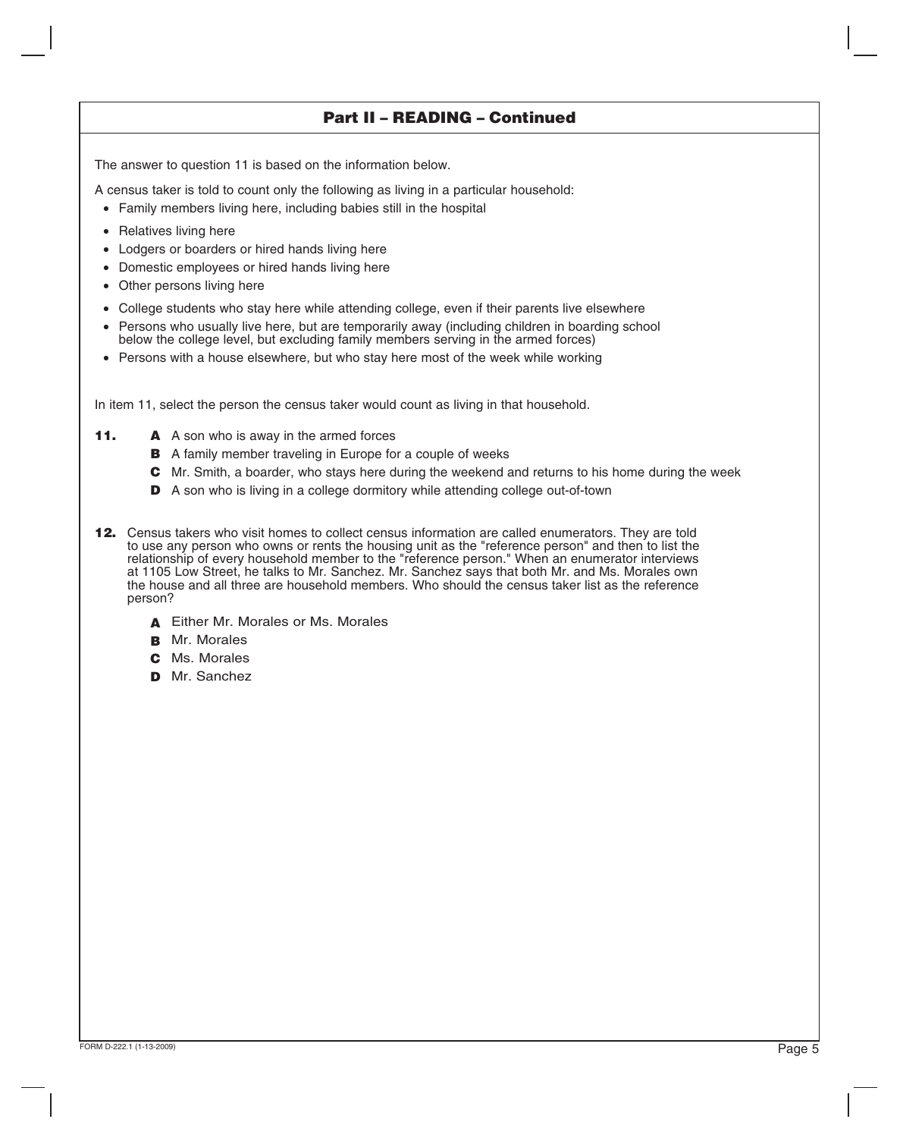## **Part II – READING – Continued**

The answer to question 11 is based on the information below.

A census taker is told to count only the following as living in a particular household:

- Family members living here, including babies still in the hospital
- Relatives living here
- Lodgers or boarders or hired hands living here
- Domestic employees or hired hands living here
- Other persons living here
- College students who stay here while attending college, even if their parents live elsewhere
- Persons who usually live here, but are temporarily away (including children in boarding school below the college level, but excluding family members serving in the armed forces)
- Persons with a house elsewhere, but who stay here most of the week while working

In item 11, select the person the census taker would count as living in that household.

- **11. A** A son who is away in the armed forces
	- **B** A family member traveling in Europe for a couple of weeks
	- Mr. Smith, a boarder, who stays here during the weekend and returns to his home during the week **C**
	- **D** A son who is living in a college dormitory while attending college out-of-town
- **12.** Census takers who visit homes to collect census information are called enumerators. They are told to use any person who owns or rents the housing unit as the "reference person" and then to list the relationship of every household member to the "reference person." When an enumerator interviews at 1105 Low Street, he talks to Mr. Sanchez. Mr. Sanchez says that both Mr. and Ms. Morales own the house and all three are household members. Who should the census taker list as the reference person?
	- Either Mr. Morales or Ms. Morales **A**
	- **B** Mr. Morales
	- Ms. Morales **C**
	- **D** Mr. Sanchez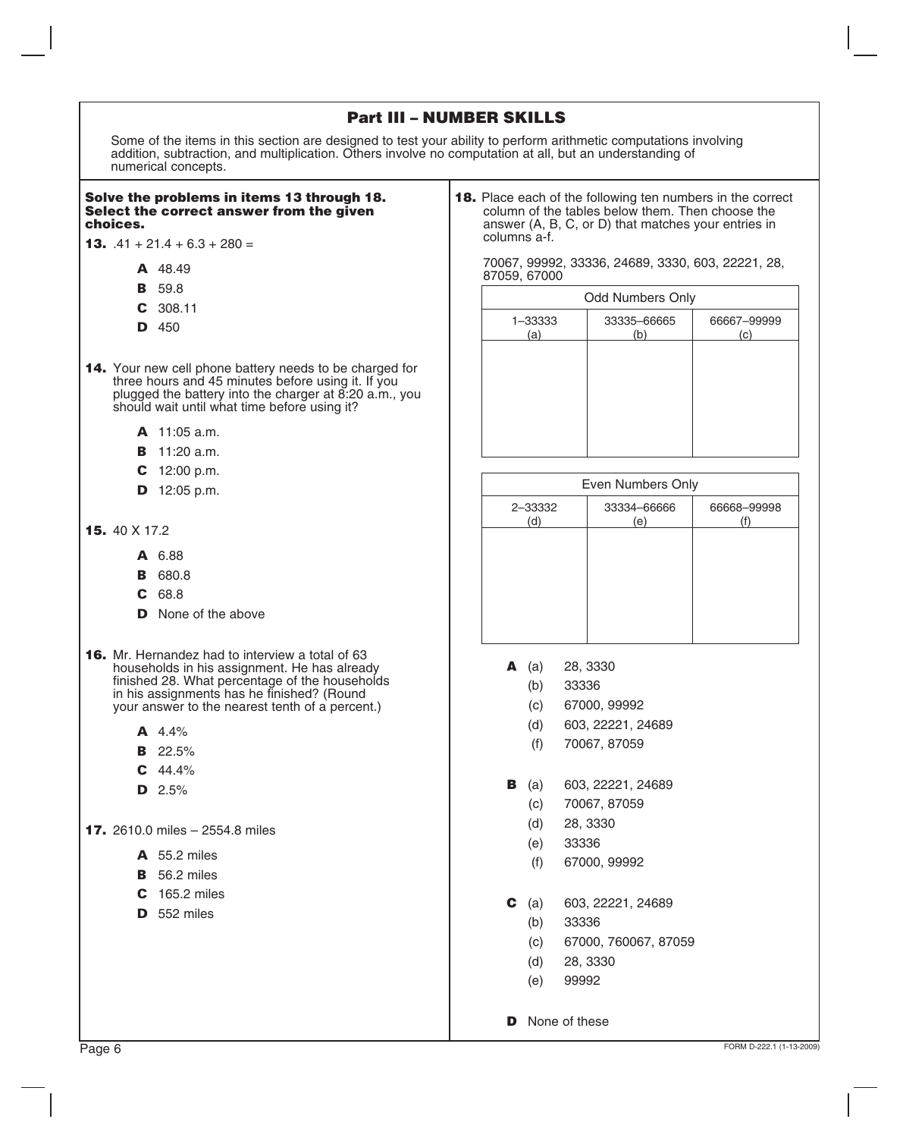|  | <b>Part III - NUMBER SKILLS</b> |  |
|--|---------------------------------|--|
|--|---------------------------------|--|

Some of the items in this section are designed to test your ability to perform arithmetic computations involving addition, subtraction, and multiplication. Others involve no computation at all, but an understanding of numerical concepts.

#### **Solve the problems in items 13 through 18. Select the correct answer from the given choices.**

- **13.**  $.41 + 21.4 + 6.3 + 280 =$ 
	- **A** 48.49
	- **B** 59.8
	- **C** 308.11
	- **D** 450
- **14.** Your new cell phone battery needs to be charged for three hours and 45 minutes before using it. If you plugged the battery into the charger at 8:20 a.m., you should wait until what time before using it?
	- 11:05 a.m. **A**
	- 11:20 a.m. **B**
	- 12:00 p.m. **C**
	- 12:05 p.m. **D**
- 40 X 17.2 **15.**
	- 6.88 **A**
	- 680.8 **B**
	- 68.8 **C**
	- **D** None of the above
- **16.** Mr. Hernandez had to interview a total of 63 households in his assignment. He has already finished 28. What percentage of the households in his assignments has he finished? (Round your answer to the nearest tenth of a percent.)
	- 4.4% **A**
	- 22.5% **B**
	- 44.4% **C**
	- 2.5% **D**

**17.** 2610.0 miles – 2554.8 miles

- 55.2 miles **A**
- 56.2 miles **B**
- 165.2 miles **C**
- 552 miles **D**

**18.** Place each of the following ten numbers in the correct column of the tables below them. Then choose the answer (A, B, C, or D) that matches your entries in columns a-f.

70067, 99992, 33336, 24689, 3330, 603, 22221, 28, 87059, 67000

|                | <b>Odd Numbers Only</b> |                    |
|----------------|-------------------------|--------------------|
| 1-33333<br>(a) | 33335-66665<br>(b)      | 66667-99999<br>(c) |
|                |                         |                    |
|                |                         |                    |
|                |                         |                    |
|                |                         |                    |

|                | Even Numbers Only  |             |
|----------------|--------------------|-------------|
| 2-33332<br>(d) | 33334-66666<br>(e) | 66668-99998 |
|                |                    |             |
|                |                    |             |
|                |                    |             |
|                |                    |             |

- **A** (a) 28, 3330
	- (b) 33336
	- (c) 67000, 99992
	- (d) 603, 22221, 24689
	- (f) 70067, 87059
- **B** (a) 603, 22221, 24689
	- (c) 70067, 87059
	- (d) 28, 3330
	- (e) 33336
	- (f) 67000, 99992
- **C** (a) 603, 22221, 24689
	- 33336 (b)
	- 67000, 760067, 87059 (c)
	- 28, 3330 (d)
	- 99992 (e)
- **D** None of these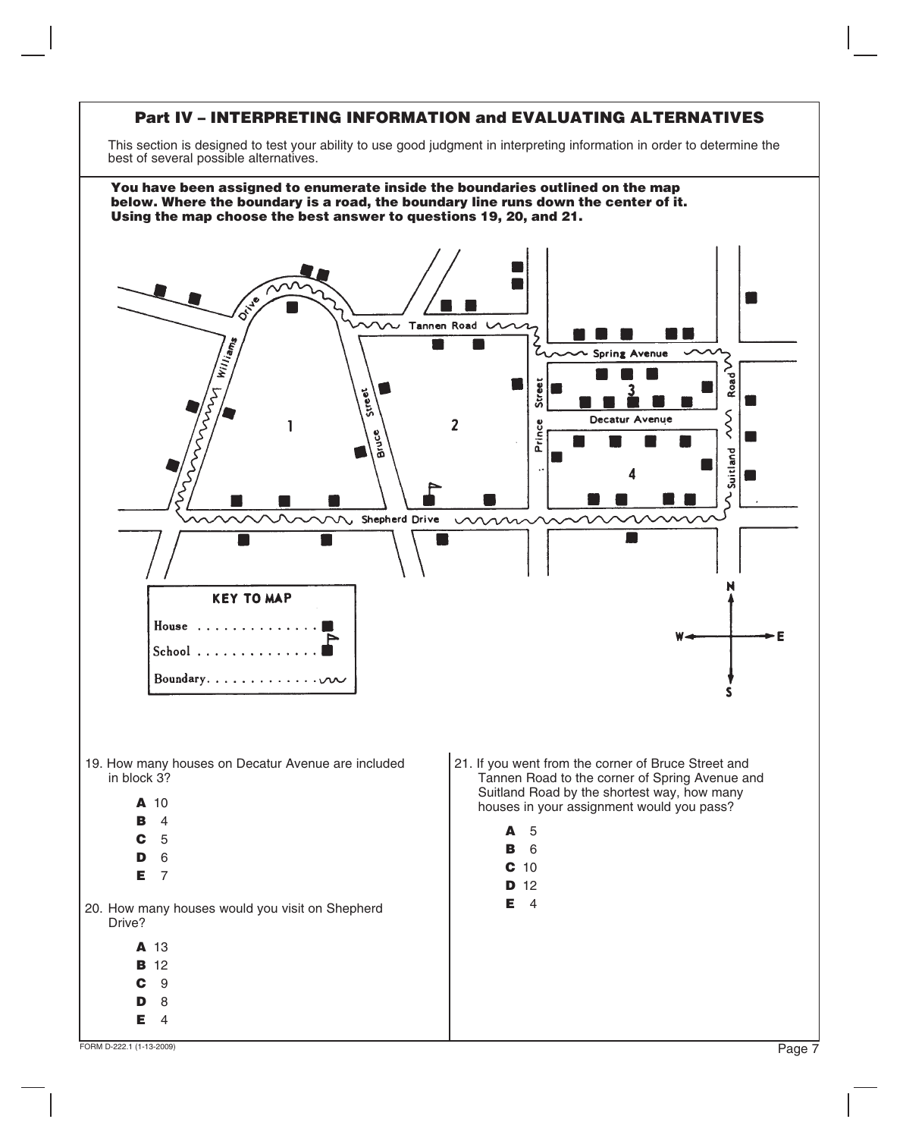## **Part IV – INTERPRETING INFORMATION and EVALUATING ALTERNATIVES**

This section is designed to test your ability to use good judgment in interpreting information in order to determine the best of several possible alternatives.

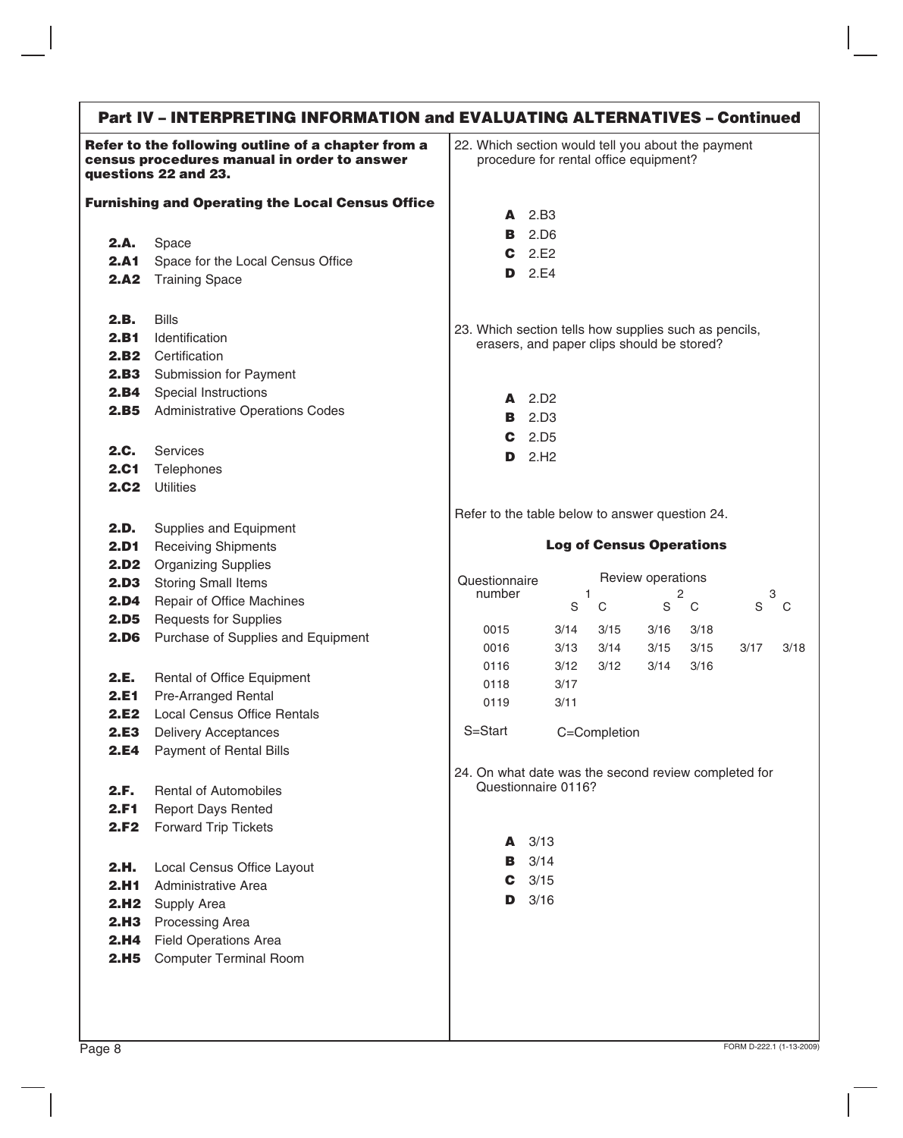#### **Part IV – INTERPRETING INFORMATION and EVALUATING ALTERNATIVES – Continued Refer to the following outline of a chapter from a census procedures manual in order to answer questions 22 and 23. Furnishing and Operating the Local Census Office** Space Space for the Local Census Office **2.A2** Training Space **2.A. 2.A1** 22. Which section would tell you about the payment procedure for rental office equipment? **A** 2.B3 **B C D** 2.E4 2.D6 2.E2 Bills Identification 2.B2 Certification **2.B3** Submission for Payment Special Instructions Administrative Operations Codes **2.B. 2.B1 2.B4 2.B5** Services **Telephones 2.C2** Utilities **2.C. 2.C1** Supplies and Equipment **2.D1** Receiving Shipments **2.D2** Organizing Supplies **2.D3** Storing Small Items **2.D4** Repair of Office Machines **2.D5** Requests for Supplies **2.D6** Purchase of Supplies and Equipment **2.D.** Rental of Office Equipment Pre-Arranged Rental Local Census Office Rentals Delivery Acceptances Payment of Rental Bills **2.E. 2.E1 2.E2 2.E3 2.E4** Rental of Automobiles Report Days Rented Forward Trip Tickets **2.F. 2.F1 2.F2** Local Census Office Layout Administrative Area 2.H<sub>2</sub> Supply Area 2.H3 Processing Area 2.H4 Field Operations Area 2.H5 Computer Terminal Room **2.H. 2.H1** 23. Which section tells how supplies such as pencils, erasers, and paper clips should be stored? **A** 2.D2 **B** 2.D3 **C** 2.D5 **D** 2.H2 Refer to the table below to answer question 24. **Log of Census Operations Questionnaire** number Review operations 1 2 3 C S 0015 0016 0116 0118 0119 3/14 3/15 3/16 3/17 3/18 S C S C S C 3/13 3/14 3/15 3/15 3/18 3/12 3/12 3/14 3/16 3/17 3/11 S=Start C=Completion 24. On what date was the second review completed for Questionnaire 0116? **A B C D** 3/163/13 3/14 3/15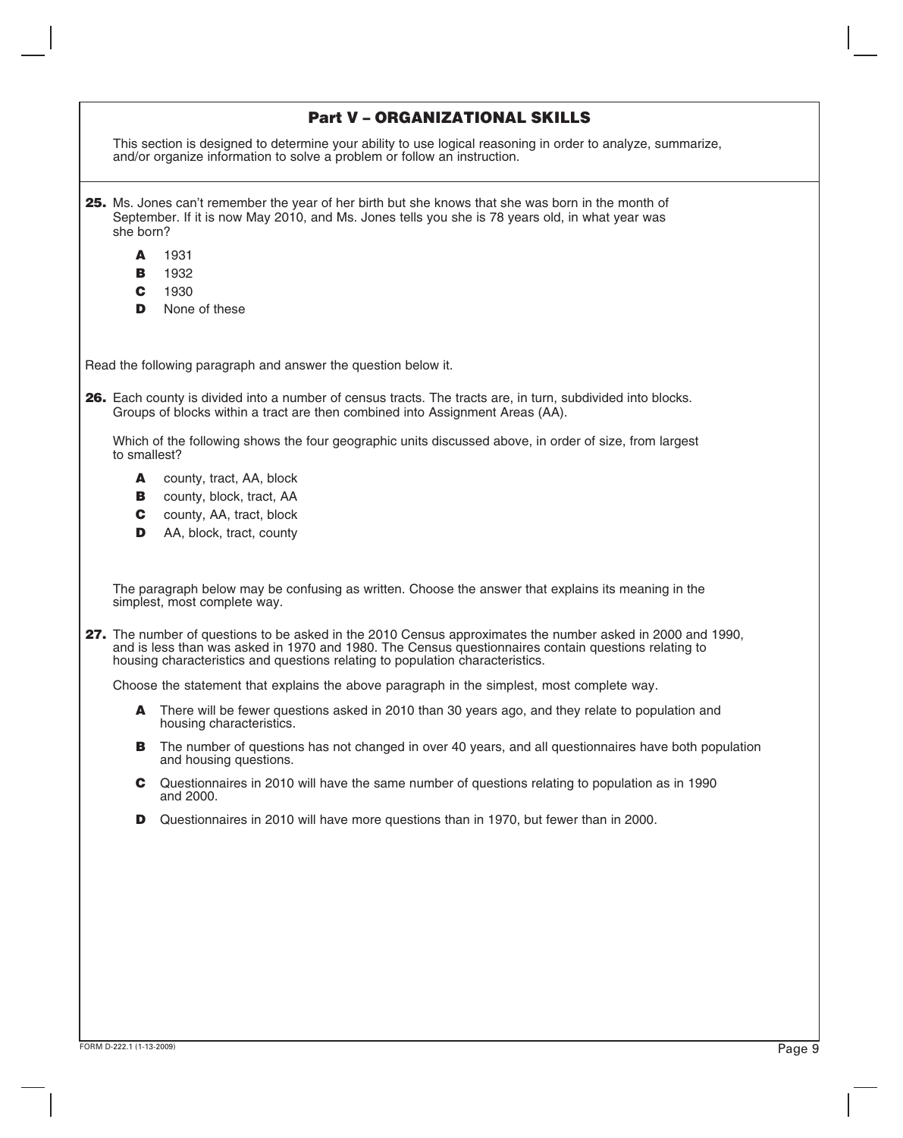|                  | <b>Part V-ORGANIZATIONAL SKILLS</b>                                                                                                                                                                                                                                                                 |
|------------------|-----------------------------------------------------------------------------------------------------------------------------------------------------------------------------------------------------------------------------------------------------------------------------------------------------|
|                  | This section is designed to determine your ability to use logical reasoning in order to analyze, summarize,<br>and/or organize information to solve a problem or follow an instruction.                                                                                                             |
| she born?        | 25. Ms. Jones can't remember the year of her birth but she knows that she was born in the month of<br>September. If it is now May 2010, and Ms. Jones tells you she is 78 years old, in what year was                                                                                               |
| A<br>В<br>C<br>D | 1931<br>1932<br>1930<br>None of these                                                                                                                                                                                                                                                               |
|                  | Read the following paragraph and answer the question below it.                                                                                                                                                                                                                                      |
|                  | 26. Each county is divided into a number of census tracts. The tracts are, in turn, subdivided into blocks.<br>Groups of blocks within a tract are then combined into Assignment Areas (AA).                                                                                                        |
| to smallest?     | Which of the following shows the four geographic units discussed above, in order of size, from largest                                                                                                                                                                                              |
| A<br>В<br>C<br>D | county, tract, AA, block<br>county, block, tract, AA<br>county, AA, tract, block<br>AA, block, tract, county                                                                                                                                                                                        |
|                  | The paragraph below may be confusing as written. Choose the answer that explains its meaning in the<br>simplest, most complete way.                                                                                                                                                                 |
|                  | 27. The number of questions to be asked in the 2010 Census approximates the number asked in 2000 and 1990,<br>and is less than was asked in 1970 and 1980. The Census questionnaires contain questions relating to<br>housing characteristics and questions relating to population characteristics. |
|                  | Choose the statement that explains the above paragraph in the simplest, most complete way.                                                                                                                                                                                                          |
| A                | There will be fewer questions asked in 2010 than 30 years ago, and they relate to population and<br>housing characteristics.                                                                                                                                                                        |
| В                | The number of questions has not changed in over 40 years, and all questionnaires have both population<br>and housing questions.                                                                                                                                                                     |
| C                | Questionnaires in 2010 will have the same number of questions relating to population as in 1990<br>and 2000.                                                                                                                                                                                        |
| D                | Questionnaires in 2010 will have more questions than in 1970, but fewer than in 2000.                                                                                                                                                                                                               |
|                  |                                                                                                                                                                                                                                                                                                     |
|                  |                                                                                                                                                                                                                                                                                                     |
|                  |                                                                                                                                                                                                                                                                                                     |
|                  |                                                                                                                                                                                                                                                                                                     |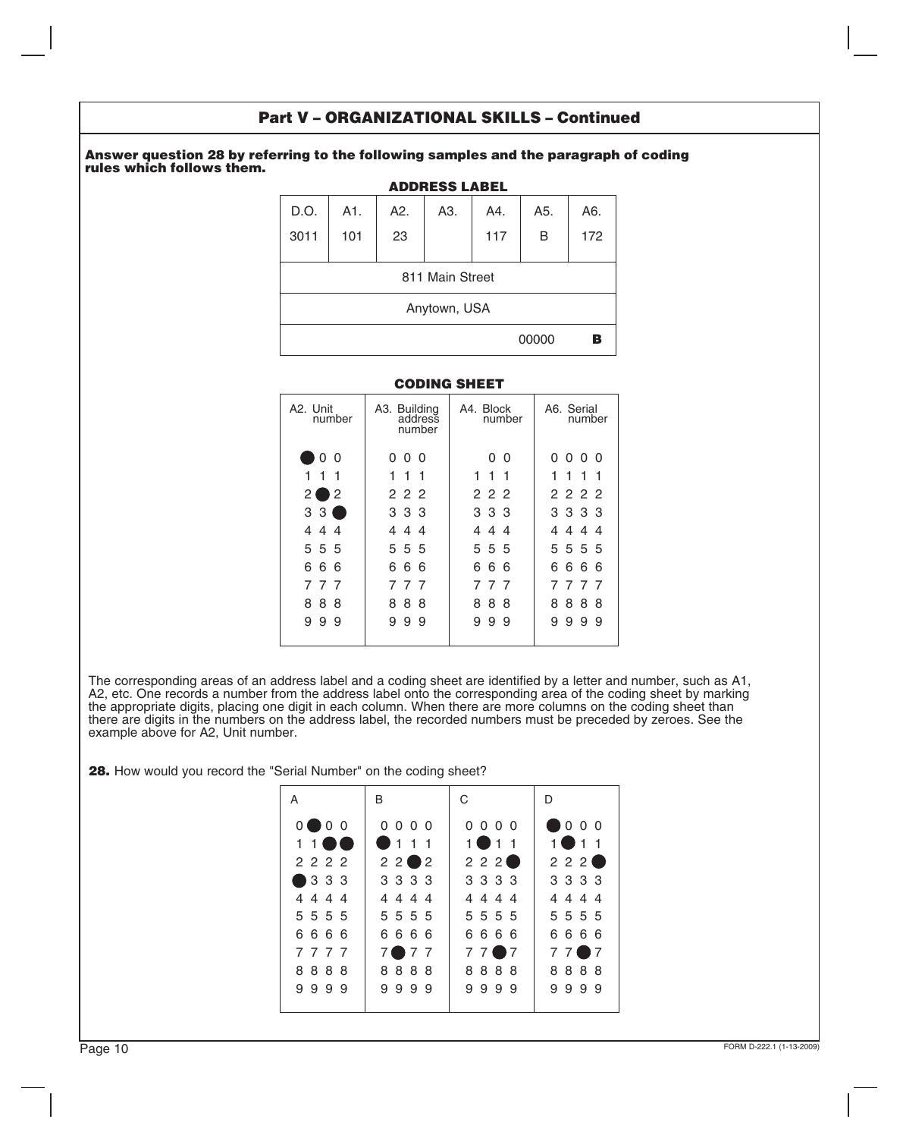## **Part V – ORGANIZATIONAL SKILLS – Continued**

#### **Answer question 28 by referring to the following samples and the paragraph of coding rules which follows them.**

| <b>ADDRESS LABEL</b> |     |                  |                                 |     |       |     |
|----------------------|-----|------------------|---------------------------------|-----|-------|-----|
| D.O.                 | A1. | A <sub>2</sub> . | A3.                             | A4. | A5.   | A6. |
| 3011                 | 101 | 23               |                                 | 117 | B     | 172 |
|                      |     |                  | 811 Main Street<br>Anytown, USA |     |       |     |
|                      |     |                  |                                 |     | 00000 | в   |

### **CODING SHEET**

| A <sub>2</sub> . Unit<br>number | A3. Building<br>address<br>number | A4. Block<br>number | A6. Serial<br>number |
|---------------------------------|-----------------------------------|---------------------|----------------------|
| O<br>O                          | 0<br>- 0<br>0                     | 0<br>$\Omega$       | 0<br>000             |
| $\overline{1}$<br>1<br>-1       | $\overline{1}$<br>1<br>-1         | 111                 | 1<br>1<br>1<br>-1    |
| 2<br>ا 2                        | 222                               | 222                 | 2222                 |
| 3<br>-3                         | 333                               | 333                 | 3 3 3 3              |
| $\overline{4}$<br>4<br>4        | 44<br>4                           | 4<br>44             | 44<br>4<br>4         |
| 5 5 5                           | 5 5 5                             | 555                 | 5 5 5 5              |
| 6<br>6<br>6                     | 6<br>6<br>-6                      | 6<br>6<br>6         | 6<br>6<br>6<br>-6    |
| 7<br>-7<br>-7                   | 7<br>77                           | 7<br>-7<br>- 7      | 7<br>777             |
| 8<br>8<br>8                     | 8<br>8<br>8                       | 8<br>8<br>8         | 8<br>8<br>8<br>8     |
| 9<br>9<br>9                     | 9<br>9<br>9                       | 9<br>9<br>9         | 9<br>9<br>9<br>9     |

The corresponding areas of an address label and a coding sheet are identified by a letter and number, such as A1, A2, etc. One records a number from the address label onto the corresponding area of the coding sheet by marking the appropriate digits, placing one digit in each column. When there are more columns on the coding sheet than there are digits in the numbers on the address label, the recorded numbers must be preceded by zeroes. See the example above for A2, Unit number.

**28.** How would you record the "Serial Number" on the coding sheet?

| A                   | B                        | C                        | D                 |
|---------------------|--------------------------|--------------------------|-------------------|
| $0$ $\bullet$ 0 $0$ | $0\quad 0\quad 0\quad 0$ | $0\quad 0\quad 0\quad 0$ | $\bullet$ 0 0 0   |
| $1\;1\;$ 0 0        | $\bullet$ 1 1 1          | $1$ $\bullet$ 1 $1$      | $1$ $\bullet$ 1 1 |
| 2222                | 2202                     | 222                      | 222               |
| 3 3 3 3             | 3 3 3 3                  | 3 3 3 3                  | 3 3 3 3           |
| 4444                | 4444                     | 4444                     | 4444              |
| 5 5 5 5             | 5 5 5 5                  | 5 5 5 5                  | 5 5 5 5           |
| 6666                | 6666                     | 6666                     | 6666              |
| 7777                | 7077                     | 7707                     | $77$ $7$ $7$      |
| 8888                | 8888                     | 8888                     | 8888              |
| 9999                | 9999                     | 9999                     | 9999              |
|                     |                          |                          |                   |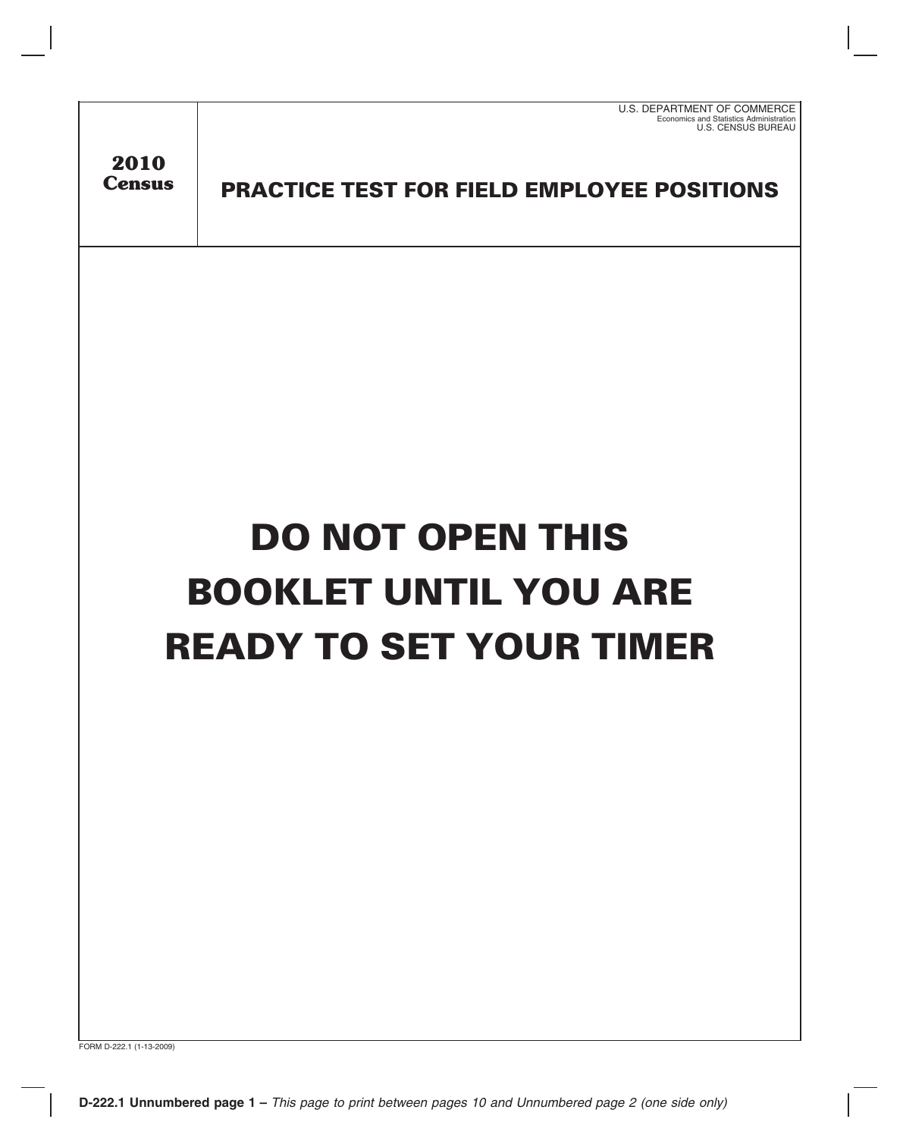| U.S. DEPARTMENT OF COMMERCE             |
|-----------------------------------------|
| Economics and Statistics Administration |
| U.S. CENSUS BUREAU                      |

**2010 Census**

**PRACTICE TEST FOR FIELD EMPLOYEE POSITIONS**

# **DO NOT OPEN THIS BOOKLET UNTIL YOU ARE READY TO SET YOUR TIMER**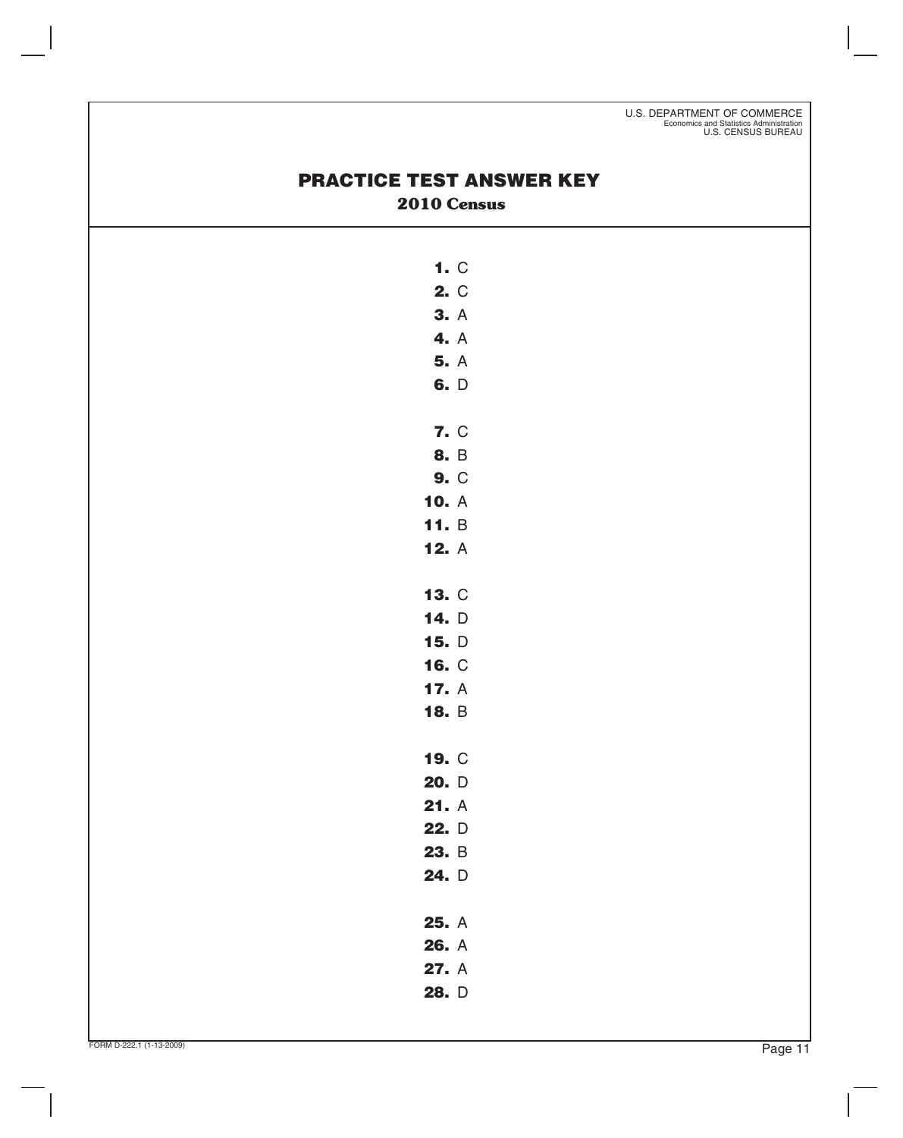U.S. DEPARTMENT OF COMMERCE Economics and Statistics Administration U.S. CENSUS BUREAU

## **PRACTICE TEST ANSWER KEY 2010 Census**

| 1. C |  |
|------|--|
| 2. C |  |
| 3. A |  |
| 4. A |  |

**5.** A **6.** D

- **7.** C
- **8.** B
- **9.** C
- **10.** A
- **11.** B **12.** A
- **13.** C
- **14.** D
- **15.** D
- **16.** C **17.** A
- **18.** B
- **19.** C
- **20.** D
- **21.** A
- **22.** D
- **23.** B **24.** D
- 
- **25.** A
- **26.** A
- **27.** A
- **28.** D